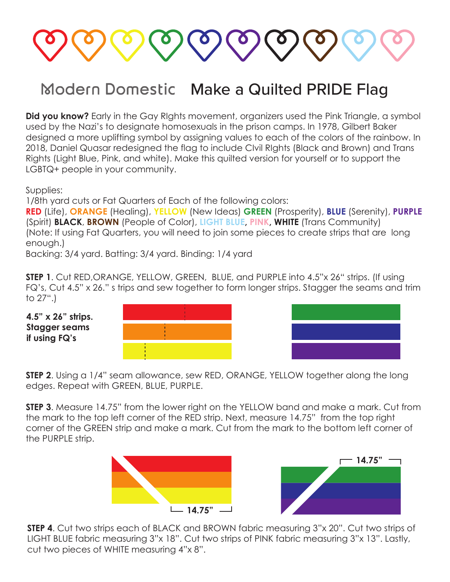## Modern Domestic Make a Quilted PRIDE Flag

**Did you know?** Early in the Gay RIghts movement, organizers used the Pink Triangle, a symbol used by the Nazi's to designate homosexuals in the prison camps. In 1978, Gilbert Baker designed a more uplifting symbol by assigning values to each of the colors of the rainbow. In 2018, Daniel Quasar redesigned the flag to include CIvil RIghts (Black and Brown) and Trans Rights (Light Blue, Pink, and white). Make this quilted version for yourself or to support the LGBTQ+ people in your community.

Supplies:

1/8th yard cuts or Fat Quarters of Each of the following colors:

**RED** (Life), **ORANGE** (Healing), **YELLOW** (New Ideas) **GREEN** (Prosperity), **BLUE** (Serenity), **PURPLE** (Spirit) **BLACK**, **BROWN** (People of Color), **LIGHT BLUE, PINK, WHITE** (Trans Community) (Note: If using Fat Quarters, you will need to join some pieces to create strips that are long enough.)

Backing: 3/4 yard. Batting: 3/4 yard. Binding: 1/4 yard

**STEP 1**. Cut RED,ORANGE, YELLOW, GREEN, BLUE, and PURPLE into 4.5"x 26" strips. (If using FQ's, Cut 4.5" x 26." s trips and sew together to form longer strips. Stagger the seams and trim to 27".)

**4.5" x 26" strips. Stagger seams if using FQ's**





**STEP 2.** Using a 1/4" seam allowance, sew RED, ORANGE, YELLOW together along the long edges. Repeat with GREEN, BLUE, PURPLE.

**STEP 3.** Measure 14.75" from the lower right on the YELLOW band and make a mark. Cut from the mark to the top left corner of the RED strip. Next, measure 14.75" from the top right corner of the GREEN strip and make a mark. Cut from the mark to the bottom left corner of the PURPLE strip.



**STEP 4.** Cut two strips each of BLACK and BROWN fabric measuring 3"x 20". Cut two strips of LIGHT BLUE fabric measuring 3"x 18". Cut two strips of PINK fabric measuring 3"x 13". Lastly, cut two pieces of WHITE measuring 4"x 8".